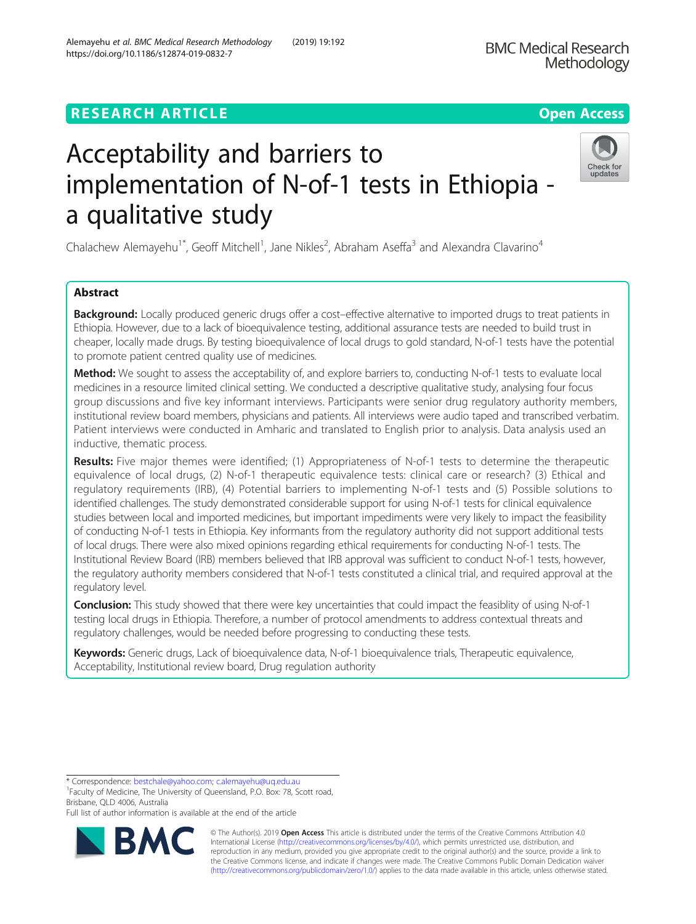# **RESEARCH ARTICLE Example 2014 12:30 The Contract of Contract ACCESS**

# Acceptability and barriers to implementation of N-of-1 tests in Ethiopia a qualitative study

Chalachew Alemayehu<sup>1\*</sup>, Geoff Mitchell<sup>1</sup>, Jane Nikles<sup>2</sup>, Abraham Aseffa<sup>3</sup> and Alexandra Clavarino<sup>4</sup>

# Abstract

Background: Locally produced generic drugs offer a cost–effective alternative to imported drugs to treat patients in Ethiopia. However, due to a lack of bioequivalence testing, additional assurance tests are needed to build trust in cheaper, locally made drugs. By testing bioequivalence of local drugs to gold standard, N-of-1 tests have the potential to promote patient centred quality use of medicines.

Method: We sought to assess the acceptability of, and explore barriers to, conducting N-of-1 tests to evaluate local medicines in a resource limited clinical setting. We conducted a descriptive qualitative study, analysing four focus group discussions and five key informant interviews. Participants were senior drug regulatory authority members, institutional review board members, physicians and patients. All interviews were audio taped and transcribed verbatim. Patient interviews were conducted in Amharic and translated to English prior to analysis. Data analysis used an inductive, thematic process.

Results: Five major themes were identified; (1) Appropriateness of N-of-1 tests to determine the therapeutic equivalence of local drugs, (2) N-of-1 therapeutic equivalence tests: clinical care or research? (3) Ethical and regulatory requirements (IRB), (4) Potential barriers to implementing N-of-1 tests and (5) Possible solutions to identified challenges. The study demonstrated considerable support for using N-of-1 tests for clinical equivalence studies between local and imported medicines, but important impediments were very likely to impact the feasibility of conducting N-of-1 tests in Ethiopia. Key informants from the regulatory authority did not support additional tests of local drugs. There were also mixed opinions regarding ethical requirements for conducting N-of-1 tests. The Institutional Review Board (IRB) members believed that IRB approval was sufficient to conduct N-of-1 tests, however, the regulatory authority members considered that N-of-1 tests constituted a clinical trial, and required approval at the regulatory level.

Conclusion: This study showed that there were key uncertainties that could impact the feasiblity of using N-of-1 testing local drugs in Ethiopia. Therefore, a number of protocol amendments to address contextual threats and regulatory challenges, would be needed before progressing to conducting these tests.

Keywords: Generic drugs, Lack of bioequivalence data, N-of-1 bioequivalence trials, Therapeutic equivalence, Acceptability, Institutional review board, Drug regulation authority

<sup>1</sup>Faculty of Medicine, The University of Queensland, P.O. Box: 78, Scott road, Brisbane, QLD 4006, Australia

Full list of author information is available at the end of the article

© The Author(s). 2019 **Open Access** This article is distributed under the terms of the Creative Commons Attribution 4.0 International License [\(http://creativecommons.org/licenses/by/4.0/](http://creativecommons.org/licenses/by/4.0/)), which permits unrestricted use, distribution, and reproduction in any medium, provided you give appropriate credit to the original author(s) and the source, provide a link to the Creative Commons license, and indicate if changes were made. The Creative Commons Public Domain Dedication waiver [\(http://creativecommons.org/publicdomain/zero/1.0/](http://creativecommons.org/publicdomain/zero/1.0/)) applies to the data made available in this article, unless otherwise stated.

\* Correspondence: [bestchale@yahoo.com;](mailto:bestchale@yahoo.com) [c.alemayehu@uq.edu.au](mailto:c.alemayehu@uq.edu.au) <sup>1</sup>



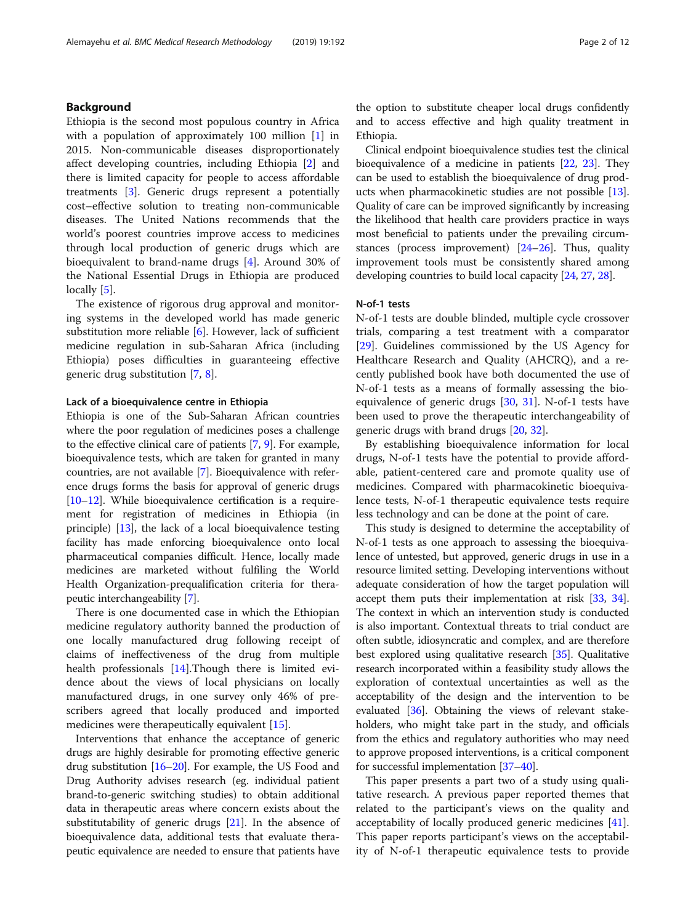Ethiopia is the second most populous country in Africa with a population of approximately 100 million [[1\]](#page-10-0) in 2015. Non-communicable diseases disproportionately affect developing countries, including Ethiopia [[2](#page-10-0)] and there is limited capacity for people to access affordable treatments [[3\]](#page-10-0). Generic drugs represent a potentially cost–effective solution to treating non-communicable diseases. The United Nations recommends that the world's poorest countries improve access to medicines through local production of generic drugs which are bioequivalent to brand-name drugs [[4\]](#page-10-0). Around 30% of the National Essential Drugs in Ethiopia are produced locally [[5\]](#page-10-0).

The existence of rigorous drug approval and monitoring systems in the developed world has made generic substitution more reliable [\[6](#page-10-0)]. However, lack of sufficient medicine regulation in sub-Saharan Africa (including Ethiopia) poses difficulties in guaranteeing effective generic drug substitution [[7,](#page-10-0) [8\]](#page-10-0).

#### Lack of a bioequivalence centre in Ethiopia

Ethiopia is one of the Sub-Saharan African countries where the poor regulation of medicines poses a challenge to the effective clinical care of patients [\[7](#page-10-0), [9\]](#page-10-0). For example, bioequivalence tests, which are taken for granted in many countries, are not available [\[7](#page-10-0)]. Bioequivalence with reference drugs forms the basis for approval of generic drugs [[10](#page-10-0)–[12\]](#page-10-0). While bioequivalence certification is a requirement for registration of medicines in Ethiopia (in principle) [\[13\]](#page-10-0), the lack of a local bioequivalence testing facility has made enforcing bioequivalence onto local pharmaceutical companies difficult. Hence, locally made medicines are marketed without fulfiling the World Health Organization-prequalification criteria for therapeutic interchangeability [[7](#page-10-0)].

There is one documented case in which the Ethiopian medicine regulatory authority banned the production of one locally manufactured drug following receipt of claims of ineffectiveness of the drug from multiple health professionals [\[14\]](#page-10-0).Though there is limited evidence about the views of local physicians on locally manufactured drugs, in one survey only 46% of prescribers agreed that locally produced and imported medicines were therapeutically equivalent [[15](#page-10-0)].

Interventions that enhance the acceptance of generic drugs are highly desirable for promoting effective generic drug substitution [\[16](#page-10-0)–[20](#page-10-0)]. For example, the US Food and Drug Authority advises research (eg. individual patient brand-to-generic switching studies) to obtain additional data in therapeutic areas where concern exists about the substitutability of generic drugs [\[21](#page-10-0)]. In the absence of bioequivalence data, additional tests that evaluate therapeutic equivalence are needed to ensure that patients have the option to substitute cheaper local drugs confidently and to access effective and high quality treatment in Ethiopia.

Clinical endpoint bioequivalence studies test the clinical bioequivalence of a medicine in patients [\[22](#page-10-0), [23](#page-10-0)]. They can be used to establish the bioequivalence of drug products when pharmacokinetic studies are not possible [[13](#page-10-0)]. Quality of care can be improved significantly by increasing the likelihood that health care providers practice in ways most beneficial to patients under the prevailing circumstances (process improvement)  $[24-26]$  $[24-26]$  $[24-26]$  $[24-26]$ . Thus, quality improvement tools must be consistently shared among developing countries to build local capacity [\[24,](#page-10-0) [27](#page-10-0), [28](#page-10-0)].

#### N-of-1 tests

N-of-1 tests are double blinded, multiple cycle crossover trials, comparing a test treatment with a comparator [[29\]](#page-10-0). Guidelines commissioned by the US Agency for Healthcare Research and Quality (AHCRQ), and a recently published book have both documented the use of N-of-1 tests as a means of formally assessing the bioequivalence of generic drugs [\[30](#page-10-0), [31](#page-10-0)]. N-of-1 tests have been used to prove the therapeutic interchangeability of generic drugs with brand drugs [\[20](#page-10-0), [32\]](#page-10-0).

By establishing bioequivalence information for local drugs, N-of-1 tests have the potential to provide affordable, patient-centered care and promote quality use of medicines. Compared with pharmacokinetic bioequivalence tests, N-of-1 therapeutic equivalence tests require less technology and can be done at the point of care.

This study is designed to determine the acceptability of N-of-1 tests as one approach to assessing the bioequivalence of untested, but approved, generic drugs in use in a resource limited setting. Developing interventions without adequate consideration of how the target population will accept them puts their implementation at risk [\[33](#page-10-0), [34](#page-10-0)]. The context in which an intervention study is conducted is also important. Contextual threats to trial conduct are often subtle, idiosyncratic and complex, and are therefore best explored using qualitative research [[35](#page-11-0)]. Qualitative research incorporated within a feasibility study allows the exploration of contextual uncertainties as well as the acceptability of the design and the intervention to be evaluated [\[36\]](#page-11-0). Obtaining the views of relevant stakeholders, who might take part in the study, and officials from the ethics and regulatory authorities who may need to approve proposed interventions, is a critical component for successful implementation [\[37](#page-11-0)–[40](#page-11-0)].

This paper presents a part two of a study using qualitative research. A previous paper reported themes that related to the participant's views on the quality and acceptability of locally produced generic medicines [\[41](#page-11-0)]. This paper reports participant's views on the acceptability of N-of-1 therapeutic equivalence tests to provide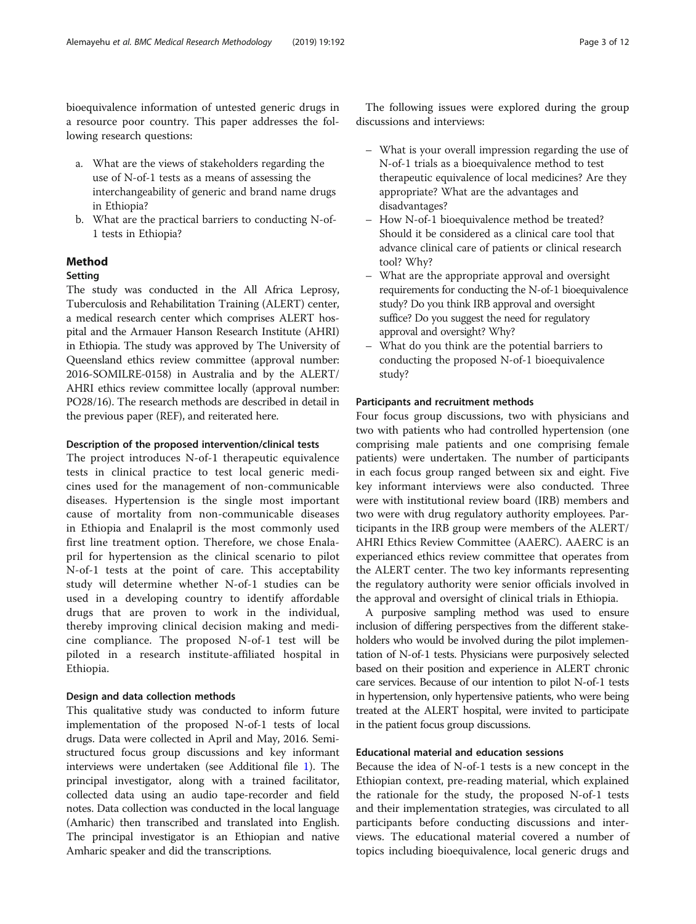bioequivalence information of untested generic drugs in a resource poor country. This paper addresses the following research questions:

- a. What are the views of stakeholders regarding the use of N-of-1 tests as a means of assessing the interchangeability of generic and brand name drugs in Ethiopia?
- b. What are the practical barriers to conducting N-of-1 tests in Ethiopia?

#### Method

#### Setting

The study was conducted in the All Africa Leprosy, Tuberculosis and Rehabilitation Training (ALERT) center, a medical research center which comprises ALERT hospital and the Armauer Hanson Research Institute (AHRI) in Ethiopia. The study was approved by The University of Queensland ethics review committee (approval number: 2016-SOMILRE-0158) in Australia and by the ALERT/ AHRI ethics review committee locally (approval number: PO28/16). The research methods are described in detail in the previous paper (REF), and reiterated here.

#### Description of the proposed intervention/clinical tests

The project introduces N-of-1 therapeutic equivalence tests in clinical practice to test local generic medicines used for the management of non-communicable diseases. Hypertension is the single most important cause of mortality from non-communicable diseases in Ethiopia and Enalapril is the most commonly used first line treatment option. Therefore, we chose Enalapril for hypertension as the clinical scenario to pilot N-of-1 tests at the point of care. This acceptability study will determine whether N-of-1 studies can be used in a developing country to identify affordable drugs that are proven to work in the individual, thereby improving clinical decision making and medicine compliance. The proposed N-of-1 test will be piloted in a research institute-affiliated hospital in Ethiopia.

#### Design and data collection methods

This qualitative study was conducted to inform future implementation of the proposed N-of-1 tests of local drugs. Data were collected in April and May, 2016. Semistructured focus group discussions and key informant interviews were undertaken (see Additional file [1\)](#page-9-0). The principal investigator, along with a trained facilitator, collected data using an audio tape-recorder and field notes. Data collection was conducted in the local language (Amharic) then transcribed and translated into English. The principal investigator is an Ethiopian and native Amharic speaker and did the transcriptions.

The following issues were explored during the group discussions and interviews:

- What is your overall impression regarding the use of N-of-1 trials as a bioequivalence method to test therapeutic equivalence of local medicines? Are they appropriate? What are the advantages and disadvantages?
- How N-of-1 bioequivalence method be treated? Should it be considered as a clinical care tool that advance clinical care of patients or clinical research tool? Why?
- What are the appropriate approval and oversight requirements for conducting the N-of-1 bioequivalence study? Do you think IRB approval and oversight suffice? Do you suggest the need for regulatory approval and oversight? Why?
- What do you think are the potential barriers to conducting the proposed N-of-1 bioequivalence study?

#### Participants and recruitment methods

Four focus group discussions, two with physicians and two with patients who had controlled hypertension (one comprising male patients and one comprising female patients) were undertaken. The number of participants in each focus group ranged between six and eight. Five key informant interviews were also conducted. Three were with institutional review board (IRB) members and two were with drug regulatory authority employees. Participants in the IRB group were members of the ALERT/ AHRI Ethics Review Committee (AAERC). AAERC is an experianced ethics review committee that operates from the ALERT center. The two key informants representing the regulatory authority were senior officials involved in the approval and oversight of clinical trials in Ethiopia.

A purposive sampling method was used to ensure inclusion of differing perspectives from the different stakeholders who would be involved during the pilot implementation of N-of-1 tests. Physicians were purposively selected based on their position and experience in ALERT chronic care services. Because of our intention to pilot N-of-1 tests in hypertension, only hypertensive patients, who were being treated at the ALERT hospital, were invited to participate in the patient focus group discussions.

#### Educational material and education sessions

Because the idea of N-of-1 tests is a new concept in the Ethiopian context, pre-reading material, which explained the rationale for the study, the proposed N-of-1 tests and their implementation strategies, was circulated to all participants before conducting discussions and interviews. The educational material covered a number of topics including bioequivalence, local generic drugs and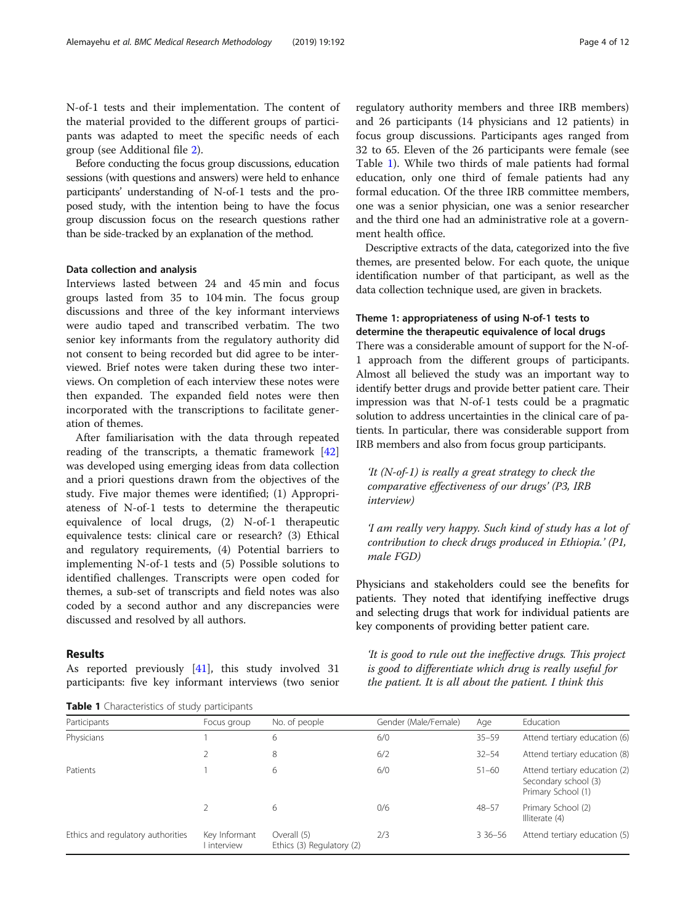N-of-1 tests and their implementation. The content of the material provided to the different groups of participants was adapted to meet the specific needs of each group (see Additional file [2\)](#page-9-0).

Before conducting the focus group discussions, education sessions (with questions and answers) were held to enhance participants' understanding of N-of-1 tests and the proposed study, with the intention being to have the focus group discussion focus on the research questions rather than be side-tracked by an explanation of the method.

#### Data collection and analysis

Interviews lasted between 24 and 45 min and focus groups lasted from 35 to 104 min. The focus group discussions and three of the key informant interviews were audio taped and transcribed verbatim. The two senior key informants from the regulatory authority did not consent to being recorded but did agree to be interviewed. Brief notes were taken during these two interviews. On completion of each interview these notes were then expanded. The expanded field notes were then incorporated with the transcriptions to facilitate generation of themes.

After familiarisation with the data through repeated reading of the transcripts, a thematic framework [[42](#page-11-0)] was developed using emerging ideas from data collection and a priori questions drawn from the objectives of the study. Five major themes were identified; (1) Appropriateness of N-of-1 tests to determine the therapeutic equivalence of local drugs, (2) N-of-1 therapeutic equivalence tests: clinical care or research? (3) Ethical and regulatory requirements, (4) Potential barriers to implementing N-of-1 tests and (5) Possible solutions to identified challenges. Transcripts were open coded for themes, a sub-set of transcripts and field notes was also coded by a second author and any discrepancies were discussed and resolved by all authors.

#### Results

As reported previously [\[41](#page-11-0)], this study involved 31 participants: five key informant interviews (two senior

Table 1 Characteristics of study participants

regulatory authority members and three IRB members) and 26 participants (14 physicians and 12 patients) in focus group discussions. Participants ages ranged from 32 to 65. Eleven of the 26 participants were female (see Table 1). While two thirds of male patients had formal education, only one third of female patients had any formal education. Of the three IRB committee members, one was a senior physician, one was a senior researcher and the third one had an administrative role at a government health office.

Descriptive extracts of the data, categorized into the five themes, are presented below. For each quote, the unique identification number of that participant, as well as the data collection technique used, are given in brackets.

# Theme 1: appropriateness of using N-of-1 tests to determine the therapeutic equivalence of local drugs

There was a considerable amount of support for the N-of-1 approach from the different groups of participants. Almost all believed the study was an important way to identify better drugs and provide better patient care. Their impression was that N-of-1 tests could be a pragmatic solution to address uncertainties in the clinical care of patients. In particular, there was considerable support from IRB members and also from focus group participants.

'It (N-of-1) is really a great strategy to check the comparative effectiveness of our drugs' (P3, IRB interview)

'I am really very happy. Such kind of study has a lot of contribution to check drugs produced in Ethiopia.' (P1, male FGD)

Physicians and stakeholders could see the benefits for patients. They noted that identifying ineffective drugs and selecting drugs that work for individual patients are key components of providing better patient care.

'It is good to rule out the ineffective drugs. This project is good to differentiate which drug is really useful for the patient. It is all about the patient. I think this

| <b>Hable</b> I Characteristics of study participants |                            |                                          |                      |            |                                                                             |
|------------------------------------------------------|----------------------------|------------------------------------------|----------------------|------------|-----------------------------------------------------------------------------|
| Participants                                         | Focus group                | No. of people                            | Gender (Male/Female) | Age        | Education                                                                   |
| Physicians                                           |                            | 6                                        | 6/0                  | $35 - 59$  | Attend tertiary education (6)                                               |
|                                                      |                            | 8                                        | 6/2                  | $32 - 54$  | Attend tertiary education (8)                                               |
| Patients                                             |                            | 6                                        | 6/0                  | $51 - 60$  | Attend tertiary education (2)<br>Secondary school (3)<br>Primary School (1) |
|                                                      |                            | 6                                        | 0/6                  | $48 - 57$  | Primary School (2)<br>Illiterate (4)                                        |
| Ethics and regulatory authorities                    | Key Informant<br>interview | Overall (5)<br>Ethics (3) Regulatory (2) | 2/3                  | $336 - 56$ | Attend tertiary education (5)                                               |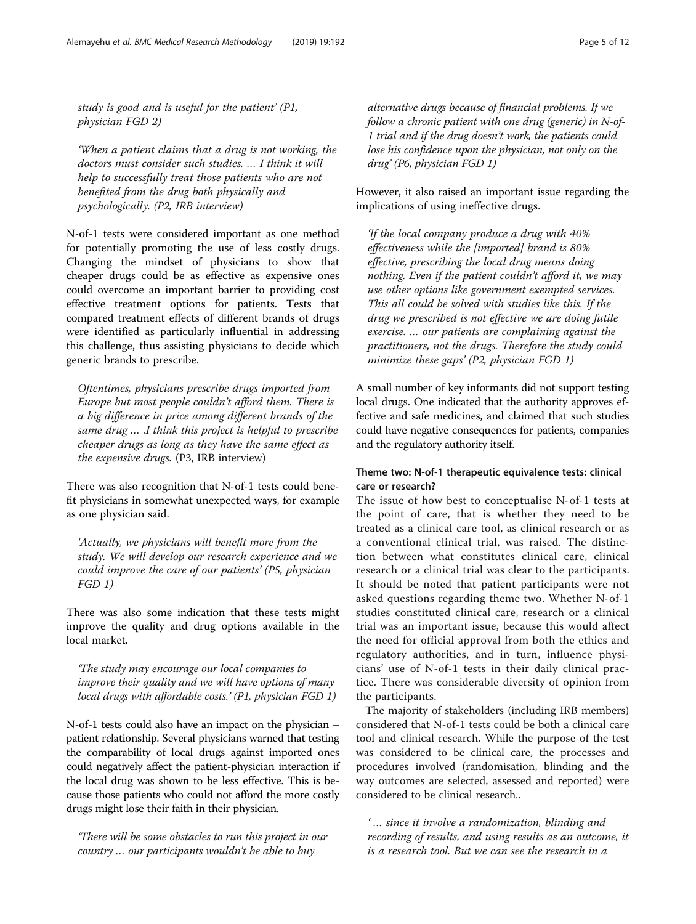study is good and is useful for the patient' (P1, physician FGD 2)

'When a patient claims that a drug is not working, the doctors must consider such studies. … I think it will help to successfully treat those patients who are not benefited from the drug both physically and psychologically. (P2, IRB interview)

N-of-1 tests were considered important as one method for potentially promoting the use of less costly drugs. Changing the mindset of physicians to show that cheaper drugs could be as effective as expensive ones could overcome an important barrier to providing cost effective treatment options for patients. Tests that compared treatment effects of different brands of drugs were identified as particularly influential in addressing this challenge, thus assisting physicians to decide which generic brands to prescribe.

Oftentimes, physicians prescribe drugs imported from Europe but most people couldn't afford them. There is a big difference in price among different brands of the same drug … .I think this project is helpful to prescribe cheaper drugs as long as they have the same effect as the expensive drugs. (P3, IRB interview)

There was also recognition that N-of-1 tests could benefit physicians in somewhat unexpected ways, for example as one physician said.

'Actually, we physicians will benefit more from the study. We will develop our research experience and we could improve the care of our patients' (P5, physician FGD 1)

There was also some indication that these tests might improve the quality and drug options available in the local market.

'The study may encourage our local companies to improve their quality and we will have options of many local drugs with affordable costs.' (P1, physician FGD 1)

N-of-1 tests could also have an impact on the physician – patient relationship. Several physicians warned that testing the comparability of local drugs against imported ones could negatively affect the patient-physician interaction if the local drug was shown to be less effective. This is because those patients who could not afford the more costly drugs might lose their faith in their physician.

'There will be some obstacles to run this project in our country … our participants wouldn't be able to buy

alternative drugs because of financial problems. If we follow a chronic patient with one drug (generic) in N-of-1 trial and if the drug doesn't work, the patients could lose his confidence upon the physician, not only on the drug' (P6, physician FGD 1)

However, it also raised an important issue regarding the implications of using ineffective drugs.

'If the local company produce a drug with 40% effectiveness while the [imported] brand is 80% effective, prescribing the local drug means doing nothing. Even if the patient couldn't afford it, we may use other options like government exempted services. This all could be solved with studies like this. If the drug we prescribed is not effective we are doing futile exercise. … our patients are complaining against the practitioners, not the drugs. Therefore the study could minimize these gaps' (P2, physician FGD 1)

A small number of key informants did not support testing local drugs. One indicated that the authority approves effective and safe medicines, and claimed that such studies could have negative consequences for patients, companies and the regulatory authority itself.

## Theme two: N-of-1 therapeutic equivalence tests: clinical care or research?

The issue of how best to conceptualise N-of-1 tests at the point of care, that is whether they need to be treated as a clinical care tool, as clinical research or as a conventional clinical trial, was raised. The distinction between what constitutes clinical care, clinical research or a clinical trial was clear to the participants. It should be noted that patient participants were not asked questions regarding theme two. Whether N-of-1 studies constituted clinical care, research or a clinical trial was an important issue, because this would affect the need for official approval from both the ethics and regulatory authorities, and in turn, influence physicians' use of N-of-1 tests in their daily clinical practice. There was considerable diversity of opinion from the participants.

The majority of stakeholders (including IRB members) considered that N-of-1 tests could be both a clinical care tool and clinical research. While the purpose of the test was considered to be clinical care, the processes and procedures involved (randomisation, blinding and the way outcomes are selected, assessed and reported) were considered to be clinical research..

' … since it involve a randomization, blinding and recording of results, and using results as an outcome, it is a research tool. But we can see the research in a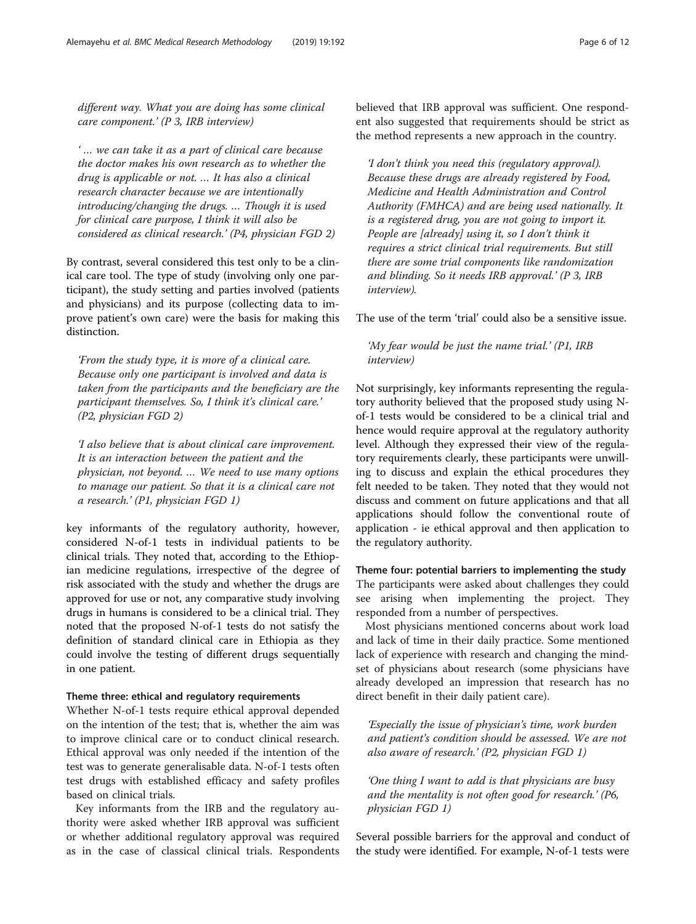different way. What you are doing has some clinical care component.' (P 3, IRB interview)

' … we can take it as a part of clinical care because the doctor makes his own research as to whether the drug is applicable or not. … It has also a clinical research character because we are intentionally introducing/changing the drugs. … Though it is used for clinical care purpose, I think it will also be considered as clinical research.' (P4, physician FGD 2)

By contrast, several considered this test only to be a clinical care tool. The type of study (involving only one participant), the study setting and parties involved (patients and physicians) and its purpose (collecting data to improve patient's own care) were the basis for making this distinction.

'From the study type, it is more of a clinical care. Because only one participant is involved and data is taken from the participants and the beneficiary are the participant themselves. So, I think it's clinical care.' (P2, physician FGD 2)

'I also believe that is about clinical care improvement. It is an interaction between the patient and the physician, not beyond. … We need to use many options to manage our patient. So that it is a clinical care not a research.' (P1, physician FGD 1)

key informants of the regulatory authority, however, considered N-of-1 tests in individual patients to be clinical trials. They noted that, according to the Ethiopian medicine regulations, irrespective of the degree of risk associated with the study and whether the drugs are approved for use or not, any comparative study involving drugs in humans is considered to be a clinical trial. They noted that the proposed N-of-1 tests do not satisfy the definition of standard clinical care in Ethiopia as they could involve the testing of different drugs sequentially in one patient.

#### Theme three: ethical and regulatory requirements

Whether N-of-1 tests require ethical approval depended on the intention of the test; that is, whether the aim was to improve clinical care or to conduct clinical research. Ethical approval was only needed if the intention of the test was to generate generalisable data. N-of-1 tests often test drugs with established efficacy and safety profiles based on clinical trials.

Key informants from the IRB and the regulatory authority were asked whether IRB approval was sufficient or whether additional regulatory approval was required as in the case of classical clinical trials. Respondents

believed that IRB approval was sufficient. One respondent also suggested that requirements should be strict as the method represents a new approach in the country.

'I don't think you need this (regulatory approval). Because these drugs are already registered by Food, Medicine and Health Administration and Control Authority (FMHCA) and are being used nationally. It is a registered drug, you are not going to import it. People are [already] using it, so I don't think it requires a strict clinical trial requirements. But still there are some trial components like randomization and blinding. So it needs IRB approval.' (P 3, IRB interview).

The use of the term 'trial' could also be a sensitive issue.

## 'My fear would be just the name trial.' (P1, IRB interview)

Not surprisingly, key informants representing the regulatory authority believed that the proposed study using Nof-1 tests would be considered to be a clinical trial and hence would require approval at the regulatory authority level. Although they expressed their view of the regulatory requirements clearly, these participants were unwilling to discuss and explain the ethical procedures they felt needed to be taken. They noted that they would not discuss and comment on future applications and that all applications should follow the conventional route of application - ie ethical approval and then application to the regulatory authority.

Theme four: potential barriers to implementing the study The participants were asked about challenges they could see arising when implementing the project. They responded from a number of perspectives.

Most physicians mentioned concerns about work load and lack of time in their daily practice. Some mentioned lack of experience with research and changing the mindset of physicians about research (some physicians have already developed an impression that research has no direct benefit in their daily patient care).

'Especially the issue of physician's time, work burden and patient's condition should be assessed. We are not also aware of research.' (P2, physician FGD 1)

'One thing I want to add is that physicians are busy and the mentality is not often good for research.' (P6, physician FGD 1)

Several possible barriers for the approval and conduct of the study were identified. For example, N-of-1 tests were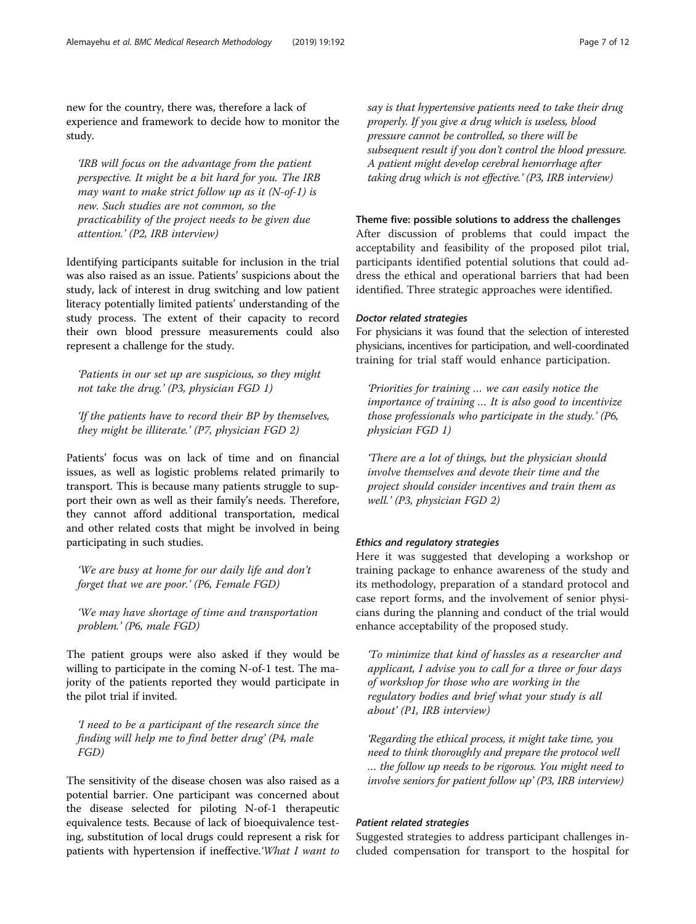new for the country, there was, therefore a lack of experience and framework to decide how to monitor the study.

'IRB will focus on the advantage from the patient perspective. It might be a bit hard for you. The IRB may want to make strict follow up as it  $(N-of-1)$  is new. Such studies are not common, so the practicability of the project needs to be given due attention.' (P2, IRB interview)

Identifying participants suitable for inclusion in the trial was also raised as an issue. Patients' suspicions about the study, lack of interest in drug switching and low patient literacy potentially limited patients' understanding of the study process. The extent of their capacity to record their own blood pressure measurements could also represent a challenge for the study.

'Patients in our set up are suspicious, so they might not take the drug.' (P3, physician FGD 1)

'If the patients have to record their BP by themselves, they might be illiterate.' (P7, physician FGD 2)

Patients' focus was on lack of time and on financial issues, as well as logistic problems related primarily to transport. This is because many patients struggle to support their own as well as their family's needs. Therefore, they cannot afford additional transportation, medical and other related costs that might be involved in being participating in such studies.

'We are busy at home for our daily life and don't forget that we are poor.' (P6, Female FGD)

'We may have shortage of time and transportation problem.' (P6, male FGD)

The patient groups were also asked if they would be willing to participate in the coming N-of-1 test. The majority of the patients reported they would participate in the pilot trial if invited.

'I need to be a participant of the research since the finding will help me to find better drug' (P4, male FGD)

The sensitivity of the disease chosen was also raised as a potential barrier. One participant was concerned about the disease selected for piloting N-of-1 therapeutic equivalence tests. Because of lack of bioequivalence testing, substitution of local drugs could represent a risk for patients with hypertension if ineffective.'What I want to say is that hypertensive patients need to take their drug properly. If you give a drug which is useless, blood pressure cannot be controlled, so there will be subsequent result if you don't control the blood pressure. A patient might develop cerebral hemorrhage after taking drug which is not effective.' (P3, IRB interview)

#### Theme five: possible solutions to address the challenges

After discussion of problems that could impact the acceptability and feasibility of the proposed pilot trial, participants identified potential solutions that could address the ethical and operational barriers that had been identified. Three strategic approaches were identified.

#### Doctor related strategies

For physicians it was found that the selection of interested physicians, incentives for participation, and well-coordinated training for trial staff would enhance participation.

'Priorities for training … we can easily notice the importance of training … It is also good to incentivize those professionals who participate in the study.' (P6, physician FGD 1)

'There are a lot of things, but the physician should involve themselves and devote their time and the project should consider incentives and train them as well.' (P3, physician FGD 2)

#### Ethics and regulatory strategies

Here it was suggested that developing a workshop or training package to enhance awareness of the study and its methodology, preparation of a standard protocol and case report forms, and the involvement of senior physicians during the planning and conduct of the trial would enhance acceptability of the proposed study.

'To minimize that kind of hassles as a researcher and applicant, I advise you to call for a three or four days of workshop for those who are working in the regulatory bodies and brief what your study is all about' (P1, IRB interview)

'Regarding the ethical process, it might take time, you need to think thoroughly and prepare the protocol well … the follow up needs to be rigorous. You might need to involve seniors for patient follow up' (P3, IRB interview)

#### Patient related strategies

Suggested strategies to address participant challenges included compensation for transport to the hospital for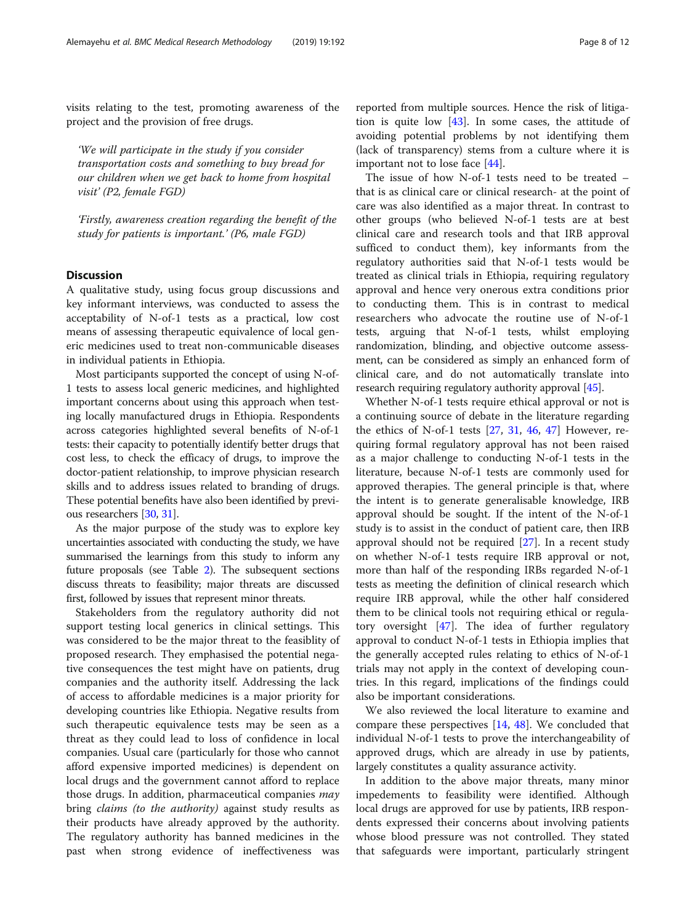visits relating to the test, promoting awareness of the project and the provision of free drugs.

'We will participate in the study if you consider transportation costs and something to buy bread for our children when we get back to home from hospital visit' (P2, female FGD)

'Firstly, awareness creation regarding the benefit of the study for patients is important.' (P6, male FGD)

#### **Discussion**

A qualitative study, using focus group discussions and key informant interviews, was conducted to assess the acceptability of N-of-1 tests as a practical, low cost means of assessing therapeutic equivalence of local generic medicines used to treat non-communicable diseases in individual patients in Ethiopia.

Most participants supported the concept of using N-of-1 tests to assess local generic medicines, and highlighted important concerns about using this approach when testing locally manufactured drugs in Ethiopia. Respondents across categories highlighted several benefits of N-of-1 tests: their capacity to potentially identify better drugs that cost less, to check the efficacy of drugs, to improve the doctor-patient relationship, to improve physician research skills and to address issues related to branding of drugs. These potential benefits have also been identified by previous researchers [\[30,](#page-10-0) [31\]](#page-10-0).

As the major purpose of the study was to explore key uncertainties associated with conducting the study, we have summarised the learnings from this study to inform any future proposals (see Table [2](#page-8-0)). The subsequent sections discuss threats to feasibility; major threats are discussed first, followed by issues that represent minor threats.

Stakeholders from the regulatory authority did not support testing local generics in clinical settings. This was considered to be the major threat to the feasiblity of proposed research. They emphasised the potential negative consequences the test might have on patients, drug companies and the authority itself. Addressing the lack of access to affordable medicines is a major priority for developing countries like Ethiopia. Negative results from such therapeutic equivalence tests may be seen as a threat as they could lead to loss of confidence in local companies. Usual care (particularly for those who cannot afford expensive imported medicines) is dependent on local drugs and the government cannot afford to replace those drugs. In addition, pharmaceutical companies may bring *claims* (to the *authority*) against study results as their products have already approved by the authority. The regulatory authority has banned medicines in the past when strong evidence of ineffectiveness was

reported from multiple sources. Hence the risk of litigation is quite low [[43](#page-11-0)]. In some cases, the attitude of avoiding potential problems by not identifying them (lack of transparency) stems from a culture where it is important not to lose face [\[44](#page-11-0)].

The issue of how N-of-1 tests need to be treated – that is as clinical care or clinical research- at the point of care was also identified as a major threat. In contrast to other groups (who believed N-of-1 tests are at best clinical care and research tools and that IRB approval sufficed to conduct them), key informants from the regulatory authorities said that N-of-1 tests would be treated as clinical trials in Ethiopia, requiring regulatory approval and hence very onerous extra conditions prior to conducting them. This is in contrast to medical researchers who advocate the routine use of N-of-1 tests, arguing that N-of-1 tests, whilst employing randomization, blinding, and objective outcome assessment, can be considered as simply an enhanced form of clinical care, and do not automatically translate into research requiring regulatory authority approval [\[45\]](#page-11-0).

Whether N-of-1 tests require ethical approval or not is a continuing source of debate in the literature regarding the ethics of N-of-1 tests  $[27, 31, 46, 47]$  $[27, 31, 46, 47]$  $[27, 31, 46, 47]$  $[27, 31, 46, 47]$  $[27, 31, 46, 47]$  $[27, 31, 46, 47]$  $[27, 31, 46, 47]$  $[27, 31, 46, 47]$  However, requiring formal regulatory approval has not been raised as a major challenge to conducting N-of-1 tests in the literature, because N-of-1 tests are commonly used for approved therapies. The general principle is that, where the intent is to generate generalisable knowledge, IRB approval should be sought. If the intent of the N-of-1 study is to assist in the conduct of patient care, then IRB approval should not be required [\[27](#page-10-0)]. In a recent study on whether N-of-1 tests require IRB approval or not, more than half of the responding IRBs regarded N-of-1 tests as meeting the definition of clinical research which require IRB approval, while the other half considered them to be clinical tools not requiring ethical or regulatory oversight [\[47\]](#page-11-0). The idea of further regulatory approval to conduct N-of-1 tests in Ethiopia implies that the generally accepted rules relating to ethics of N-of-1 trials may not apply in the context of developing countries. In this regard, implications of the findings could also be important considerations.

We also reviewed the local literature to examine and compare these perspectives [[14](#page-10-0), [48](#page-11-0)]. We concluded that individual N-of-1 tests to prove the interchangeability of approved drugs, which are already in use by patients, largely constitutes a quality assurance activity.

In addition to the above major threats, many minor impedements to feasibility were identified. Although local drugs are approved for use by patients, IRB respondents expressed their concerns about involving patients whose blood pressure was not controlled. They stated that safeguards were important, particularly stringent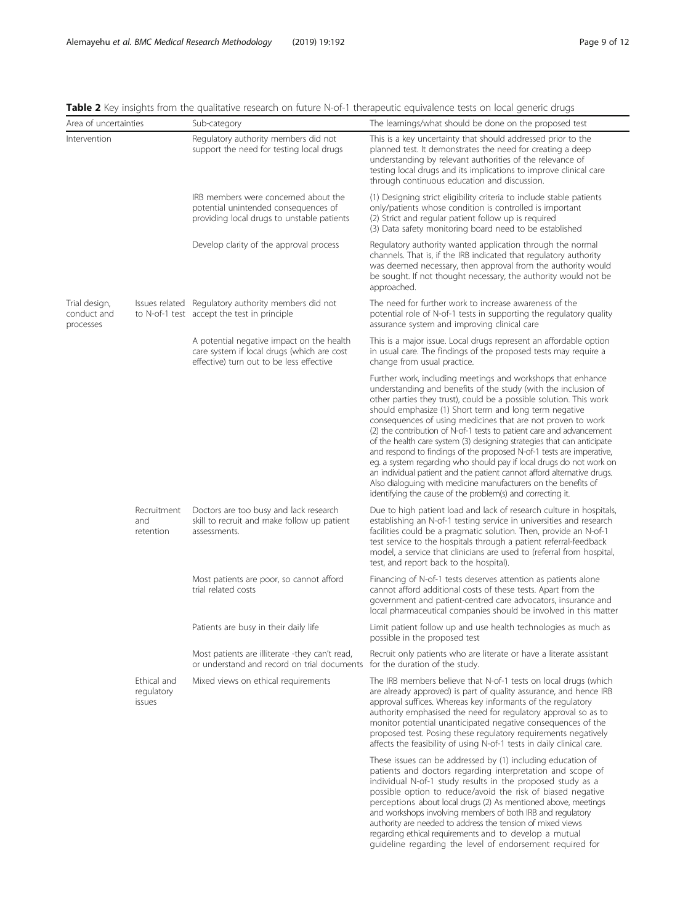|                                           |                                     | ney morghto norm are quantumentous in ormatare in or in                                                                             |                                                                                                                                                                                                                                                                                                                                                                                                                                                                                                                                                                                                                                                                                                                                                                                                                                         |  |
|-------------------------------------------|-------------------------------------|-------------------------------------------------------------------------------------------------------------------------------------|-----------------------------------------------------------------------------------------------------------------------------------------------------------------------------------------------------------------------------------------------------------------------------------------------------------------------------------------------------------------------------------------------------------------------------------------------------------------------------------------------------------------------------------------------------------------------------------------------------------------------------------------------------------------------------------------------------------------------------------------------------------------------------------------------------------------------------------------|--|
| Area of uncertainties                     |                                     | Sub-category                                                                                                                        | The learnings/what should be done on the proposed test                                                                                                                                                                                                                                                                                                                                                                                                                                                                                                                                                                                                                                                                                                                                                                                  |  |
| Intervention                              |                                     | Regulatory authority members did not<br>support the need for testing local drugs                                                    | This is a key uncertainty that should addressed prior to the<br>planned test. It demonstrates the need for creating a deep<br>understanding by relevant authorities of the relevance of<br>testing local drugs and its implications to improve clinical care<br>through continuous education and discussion.                                                                                                                                                                                                                                                                                                                                                                                                                                                                                                                            |  |
|                                           |                                     | IRB members were concerned about the<br>potential unintended consequences of<br>providing local drugs to unstable patients          | (1) Designing strict eligibility criteria to include stable patients<br>only/patients whose condition is controlled is important<br>(2) Strict and regular patient follow up is required<br>(3) Data safety monitoring board need to be established                                                                                                                                                                                                                                                                                                                                                                                                                                                                                                                                                                                     |  |
|                                           |                                     | Develop clarity of the approval process                                                                                             | Regulatory authority wanted application through the normal<br>channels. That is, if the IRB indicated that regulatory authority<br>was deemed necessary, then approval from the authority would<br>be sought. If not thought necessary, the authority would not be<br>approached.                                                                                                                                                                                                                                                                                                                                                                                                                                                                                                                                                       |  |
| Trial design,<br>conduct and<br>processes |                                     | Issues related Regulatory authority members did not<br>to N-of-1 test accept the test in principle                                  | The need for further work to increase awareness of the<br>potential role of N-of-1 tests in supporting the regulatory quality<br>assurance system and improving clinical care                                                                                                                                                                                                                                                                                                                                                                                                                                                                                                                                                                                                                                                           |  |
|                                           |                                     | A potential negative impact on the health<br>care system if local drugs (which are cost<br>effective) turn out to be less effective | This is a major issue. Local drugs represent an affordable option<br>in usual care. The findings of the proposed tests may require a<br>change from usual practice.                                                                                                                                                                                                                                                                                                                                                                                                                                                                                                                                                                                                                                                                     |  |
|                                           |                                     |                                                                                                                                     | Further work, including meetings and workshops that enhance<br>understanding and benefits of the study (with the inclusion of<br>other parties they trust), could be a possible solution. This work<br>should emphasize (1) Short term and long term negative<br>consequences of using medicines that are not proven to work<br>(2) the contribution of N-of-1 tests to patient care and advancement<br>of the health care system (3) designing strategies that can anticipate<br>and respond to findings of the proposed N-of-1 tests are imperative,<br>eg. a system regarding who should pay if local drugs do not work on<br>an individual patient and the patient cannot afford alternative drugs.<br>Also dialoguing with medicine manufacturers on the benefits of<br>identifying the cause of the problem(s) and correcting it. |  |
|                                           | Recruitment<br>and<br>retention     | Doctors are too busy and lack research<br>skill to recruit and make follow up patient<br>assessments.                               | Due to high patient load and lack of research culture in hospitals,<br>establishing an N-of-1 testing service in universities and research<br>facilities could be a pragmatic solution. Then, provide an N-of-1<br>test service to the hospitals through a patient referral-feedback<br>model, a service that clinicians are used to (referral from hospital,<br>test, and report back to the hospital).                                                                                                                                                                                                                                                                                                                                                                                                                                |  |
|                                           |                                     | Most patients are poor, so cannot afford<br>trial related costs                                                                     | Financing of N-of-1 tests deserves attention as patients alone<br>cannot afford additional costs of these tests. Apart from the<br>government and patient-centred care advocators, insurance and<br>local pharmaceutical companies should be involved in this matter                                                                                                                                                                                                                                                                                                                                                                                                                                                                                                                                                                    |  |
|                                           |                                     | Patients are busy in their daily life                                                                                               | Limit patient follow up and use health technologies as much as<br>possible in the proposed test                                                                                                                                                                                                                                                                                                                                                                                                                                                                                                                                                                                                                                                                                                                                         |  |
|                                           |                                     | Most patients are illiterate -they can't read,<br>or understand and record on trial documents for the duration of the study.        | Recruit only patients who are literate or have a literate assistant                                                                                                                                                                                                                                                                                                                                                                                                                                                                                                                                                                                                                                                                                                                                                                     |  |
|                                           | Ethical and<br>regulatory<br>issues | Mixed views on ethical requirements                                                                                                 | The IRB members believe that N-of-1 tests on local drugs (which<br>are already approved) is part of quality assurance, and hence IRB<br>approval suffices. Whereas key informants of the regulatory<br>authority emphasised the need for regulatory approval so as to<br>monitor potential unanticipated negative consequences of the<br>proposed test. Posing these regulatory requirements negatively<br>affects the feasibility of using N-of-1 tests in daily clinical care.                                                                                                                                                                                                                                                                                                                                                        |  |
|                                           |                                     |                                                                                                                                     | These issues can be addressed by (1) including education of<br>patients and doctors regarding interpretation and scope of<br>individual N-of-1 study results in the proposed study as a<br>possible option to reduce/avoid the risk of biased negative<br>perceptions about local drugs (2) As mentioned above, meetings<br>and workshops involving members of both IRB and regulatory<br>authority are needed to address the tension of mixed views<br>regarding ethical requirements and to develop a mutual                                                                                                                                                                                                                                                                                                                          |  |

guideline regarding the level of endorsement required for

<span id="page-8-0"></span>Table 2 Key insights from the qualitative research on future N-of-1 therapeutic equivalence tests on local generic drugs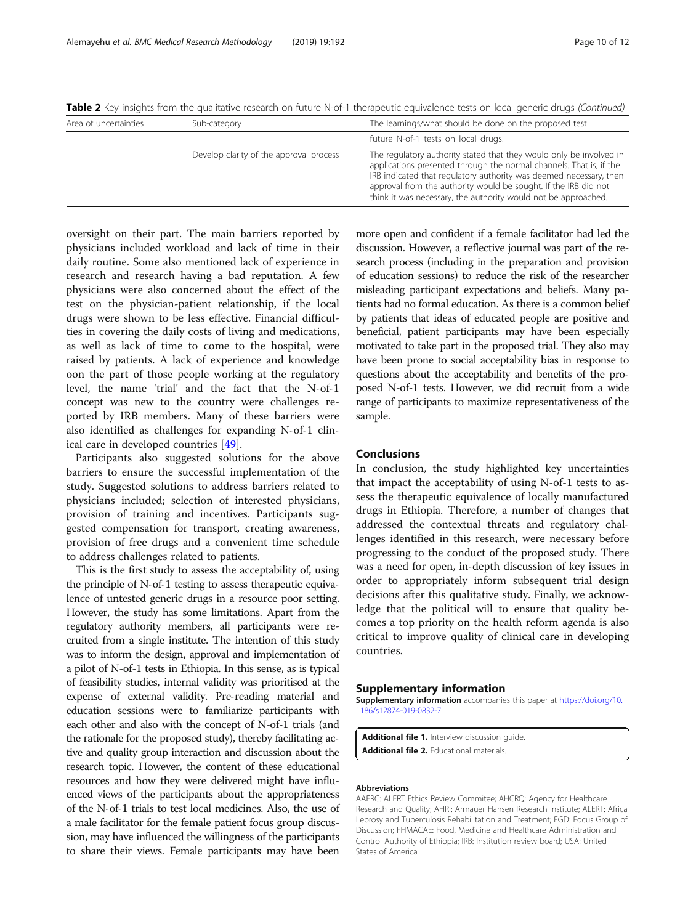<span id="page-9-0"></span>Table 2 Key insights from the qualitative research on future N-of-1 therapeutic equivalence tests on local generic drugs (Continued)

| Area of uncertainties | Sub-category                            | The learnings/what should be done on the proposed test                                                                                                                                                                                                                                                                                                |  |  |
|-----------------------|-----------------------------------------|-------------------------------------------------------------------------------------------------------------------------------------------------------------------------------------------------------------------------------------------------------------------------------------------------------------------------------------------------------|--|--|
|                       |                                         | future N-of-1 tests on local drugs.                                                                                                                                                                                                                                                                                                                   |  |  |
|                       | Develop clarity of the approval process | The regulatory authority stated that they would only be involved in<br>applications presented through the normal channels. That is, if the<br>IRB indicated that regulatory authority was deemed necessary, then<br>approval from the authority would be sought. If the IRB did not<br>think it was necessary, the authority would not be approached. |  |  |

oversight on their part. The main barriers reported by physicians included workload and lack of time in their daily routine. Some also mentioned lack of experience in research and research having a bad reputation. A few physicians were also concerned about the effect of the test on the physician-patient relationship, if the local drugs were shown to be less effective. Financial difficulties in covering the daily costs of living and medications, as well as lack of time to come to the hospital, were raised by patients. A lack of experience and knowledge oon the part of those people working at the regulatory level, the name 'trial' and the fact that the N-of-1 concept was new to the country were challenges reported by IRB members. Many of these barriers were also identified as challenges for expanding N-of-1 clinical care in developed countries [\[49\]](#page-11-0).

Participants also suggested solutions for the above barriers to ensure the successful implementation of the study. Suggested solutions to address barriers related to physicians included; selection of interested physicians, provision of training and incentives. Participants suggested compensation for transport, creating awareness, provision of free drugs and a convenient time schedule to address challenges related to patients.

This is the first study to assess the acceptability of, using the principle of N-of-1 testing to assess therapeutic equivalence of untested generic drugs in a resource poor setting. However, the study has some limitations. Apart from the regulatory authority members, all participants were recruited from a single institute. The intention of this study was to inform the design, approval and implementation of a pilot of N-of-1 tests in Ethiopia. In this sense, as is typical of feasibility studies, internal validity was prioritised at the expense of external validity. Pre-reading material and education sessions were to familiarize participants with each other and also with the concept of N-of-1 trials (and the rationale for the proposed study), thereby facilitating active and quality group interaction and discussion about the research topic. However, the content of these educational resources and how they were delivered might have influenced views of the participants about the appropriateness of the N-of-1 trials to test local medicines. Also, the use of a male facilitator for the female patient focus group discussion, may have influenced the willingness of the participants to share their views. Female participants may have been more open and confident if a female facilitator had led the discussion. However, a reflective journal was part of the research process (including in the preparation and provision of education sessions) to reduce the risk of the researcher misleading participant expectations and beliefs. Many patients had no formal education. As there is a common belief by patients that ideas of educated people are positive and beneficial, patient participants may have been especially motivated to take part in the proposed trial. They also may have been prone to social acceptability bias in response to questions about the acceptability and benefits of the proposed N-of-1 tests. However, we did recruit from a wide range of participants to maximize representativeness of the sample.

#### **Conclusions**

In conclusion, the study highlighted key uncertainties that impact the acceptability of using N-of-1 tests to assess the therapeutic equivalence of locally manufactured drugs in Ethiopia. Therefore, a number of changes that addressed the contextual threats and regulatory challenges identified in this research, were necessary before progressing to the conduct of the proposed study. There was a need for open, in-depth discussion of key issues in order to appropriately inform subsequent trial design decisions after this qualitative study. Finally, we acknowledge that the political will to ensure that quality becomes a top priority on the health reform agenda is also critical to improve quality of clinical care in developing countries.

#### Supplementary information

Supplementary information accompanies this paper at [https://doi.org/10.](https://doi.org/10.1186/s12874-019-0832-7) [1186/s12874-019-0832-7.](https://doi.org/10.1186/s12874-019-0832-7)

Additional file 1. Interview discussion guide. Additional file 2. Educational materials.

#### Abbreviations

AAERC: ALERT Ethics Review Commitee; AHCRQ: Agency for Healthcare Research and Quality; AHRI: Armauer Hansen Research Institute; ALERT: Africa Leprosy and Tuberculosis Rehabilitation and Treatment; FGD: Focus Group of Discussion; FHMACAE: Food, Medicine and Healthcare Administration and Control Authority of Ethiopia; IRB: Institution review board; USA: United States of America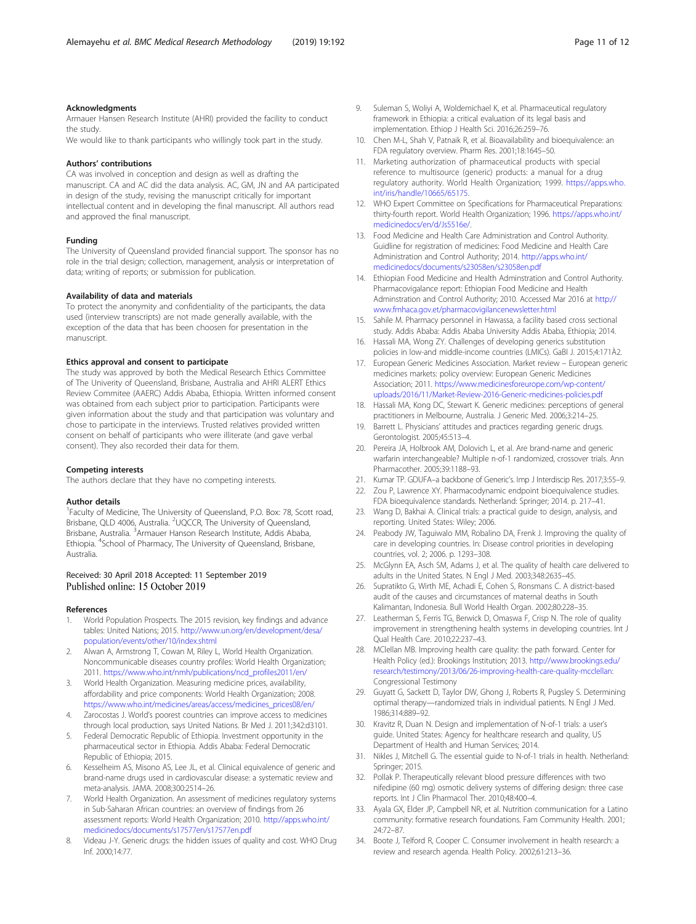#### <span id="page-10-0"></span>Acknowledgments

Armauer Hansen Research Institute (AHRI) provided the facility to conduct the study.

We would like to thank participants who willingly took part in the study.

#### Authors' contributions

CA was involved in conception and design as well as drafting the manuscript. CA and AC did the data analysis. AC, GM, JN and AA participated in design of the study, revising the manuscript critically for important intellectual content and in developing the final manuscript. All authors read and approved the final manuscript.

#### Funding

The University of Queensland provided financial support. The sponsor has no role in the trial design; collection, management, analysis or interpretation of data; writing of reports; or submission for publication.

#### Availability of data and materials

To protect the anonymity and confidentiality of the participants, the data used (interview transcripts) are not made generally available, with the exception of the data that has been choosen for presentation in the manuscript.

#### Ethics approval and consent to participate

The study was approved by both the Medical Research Ethics Committee of The Univerity of Queensland, Brisbane, Australia and AHRI ALERT Ethics Review Commitee (AAERC) Addis Ababa, Ethiopia. Written informed consent was obtained from each subject prior to participation. Participants were given information about the study and that participation was voluntary and chose to participate in the interviews. Trusted relatives provided written consent on behalf of participants who were illiterate (and gave verbal consent). They also recorded their data for them.

#### Competing interests

The authors declare that they have no competing interests.

#### Author details

<sup>1</sup> Faculty of Medicine, The University of Queensland, P.O. Box: 78, Scott road, Brisbane, QLD 4006, Australia. <sup>2</sup>UQCCR, The University of Queensland, Brisbane, Australia. <sup>3</sup>Armauer Hanson Research Institute, Addis Ababa, Ethiopia. <sup>4</sup>School of Pharmacy, The University of Queensland, Brisbane, Australia.

# Received: 30 April 2018 Accepted: 11 September 2019

#### References

- 1. World Population Prospects. The 2015 revision, key findings and advance tables: United Nations; 2015. [http://www.un.org/en/development/desa/](http://www.un.org/en/development/desa/population/events/other/10/index.shtml) [population/events/other/10/index.shtml](http://www.un.org/en/development/desa/population/events/other/10/index.shtml)
- 2. Alwan A, Armstrong T, Cowan M, Riley L, World Health Organization. Noncommunicable diseases country profiles: World Health Organization; 2011. [https://www.who.int/nmh/publications/ncd\\_profiles2011/en/](https://www.who.int/nmh/publications/ncd_profiles2011/en/)
- 3. World Health Organization. Measuring medicine prices, availability, affordability and price components: World Health Organization; 2008. [https://www.who.int/medicines/areas/access/medicines\\_prices08/en/](https://www.who.int/medicines/areas/access/medicines_prices08/en/)
- 4. Zarocostas J. World's poorest countries can improve access to medicines through local production, says United Nations. Br Med J. 2011;342:d3101.
- 5. Federal Democratic Republic of Ethiopia. Investment opportunity in the pharmaceutical sector in Ethiopia. Addis Ababa: Federal Democratic Republic of Ethiopia; 2015.
- 6. Kesselheim AS, Misono AS, Lee JL, et al. Clinical equivalence of generic and brand-name drugs used in cardiovascular disease: a systematic review and meta-analysis. JAMA. 2008;300:2514–26.
- 7. World Health Organization. An assessment of medicines regulatory systems in Sub-Saharan African countries: an overview of findings from 26 assessment reports: World Health Organization; 2010. [http://apps.who.int/](http://apps.who.int/medicinedocs/documents/s17577en/s17577en.pdf) [medicinedocs/documents/s17577en/s17577en.pdf](http://apps.who.int/medicinedocs/documents/s17577en/s17577en.pdf)
- 8. Videau J-Y. Generic drugs: the hidden issues of quality and cost. WHO Drug Inf. 2000;14:77.
- 9. Suleman S, Woliyi A, Woldemichael K, et al. Pharmaceutical regulatory framework in Ethiopia: a critical evaluation of its legal basis and implementation. Ethiop J Health Sci. 2016;26:259–76.
- 10. Chen M-L, Shah V, Patnaik R, et al. Bioavailability and bioequivalence: an FDA regulatory overview. Pharm Res. 2001;18:1645–50.
- 11. Marketing authorization of pharmaceutical products with special reference to multisource (generic) products: a manual for a drug regulatory authority. World Health Organization; 1999. [https://apps.who.](https://apps.who.int/iris/handle/10665/65175) [int/iris/handle/10665/65175.](https://apps.who.int/iris/handle/10665/65175)
- 12. WHO Expert Committee on Specifications for Pharmaceutical Preparations: thirty-fourth report. World Health Organization; 1996. [https://apps.who.int/](https://apps.who.int/medicinedocs/en/d/Js5516e/) [medicinedocs/en/d/Js5516e/](https://apps.who.int/medicinedocs/en/d/Js5516e/).
- 13. Food Medicine and Health Care Administration and Control Authority. Guidline for registration of medicines: Food Medicine and Health Care Administration and Control Authority; 2014. [http://apps.who.int/](http://apps.who.int/medicinedocs/documents/s23058en/s23058en.pdf) [medicinedocs/documents/s23058en/s23058en.pdf](http://apps.who.int/medicinedocs/documents/s23058en/s23058en.pdf)
- 14. Ethiopian Food Medicine and Health Adminstration and Control Authority. Pharmacovigalance report: Ethiopian Food Medicine and Health Adminstration and Control Authority; 2010. Accessed Mar 2016 at [http://](http://www.fmhaca.gov.et/pharmacovigilancenewsletter.html) [www.fmhaca.gov.et/pharmacovigilancenewsletter.html](http://www.fmhaca.gov.et/pharmacovigilancenewsletter.html)
- 15. Sahile M. Pharmacy personnel in Hawassa, a facility based cross sectional study. Addis Ababa: Addis Ababa University Addis Ababa, Ethiopia; 2014.
- 16. Hassali MA, Wong ZY. Challenges of developing generics substitution policies in low-and middle-income countries (LMICs). GaBI J. 2015;4:171À2.
- 17. European Generic Medicines Association. Market review European generic medicines markets: policy overview: European Generic Medicines Association; 2011. [https://www.medicinesforeurope.com/wp-content/](https://www.medicinesforeurope.com/wp-content/uploads/2016/11/Market-Review-2016-Generic-medicines-policies.pdf) [uploads/2016/11/Market-Review-2016-Generic-medicines-policies.pdf](https://www.medicinesforeurope.com/wp-content/uploads/2016/11/Market-Review-2016-Generic-medicines-policies.pdf)
- 18. Hassali MA, Kong DC, Stewart K. Generic medicines: perceptions of general practitioners in Melbourne, Australia. J Generic Med. 2006;3:214–25.
- 19. Barrett L. Physicians' attitudes and practices regarding generic drugs. Gerontologist. 2005;45:513–4.
- 20. Pereira JA, Holbrook AM, Dolovich L, et al. Are brand-name and generic warfarin interchangeable? Multiple n-of-1 randomized, crossover trials. Ann Pharmacother. 2005;39:1188–93.
- 21. Kumar TP. GDUFA–a backbone of Generic's. Imp J Interdiscip Res. 2017;3:55–9.
- 22. Zou P, Lawrence XY. Pharmacodynamic endpoint bioequivalence studies. FDA bioequivalence standards. Netherland: Springer; 2014. p. 217–41.
- 23. Wang D, Bakhai A. Clinical trials: a practical guide to design, analysis, and reporting. United States: Wiley; 2006.
- 24. Peabody JW, Taguiwalo MM, Robalino DA, Frenk J. Improving the quality of care in developing countries. In: Disease control priorities in developing countries, vol. 2; 2006. p. 1293–308.
- 25. McGlynn EA, Asch SM, Adams J, et al. The quality of health care delivered to adults in the United States. N Engl J Med. 2003;348:2635–45.
- 26. Supratikto G, Wirth ME, Achadi E, Cohen S, Ronsmans C. A district-based audit of the causes and circumstances of maternal deaths in South Kalimantan, Indonesia. Bull World Health Organ. 2002;80:228–35.
- 27. Leatherman S, Ferris TG, Berwick D, Omaswa F, Crisp N. The role of quality improvement in strengthening health systems in developing countries. Int J Qual Health Care. 2010;22:237–43.
- 28. MClellan MB. Improving health care quality: the path forward. Center for Health Policy (ed.): Brookings Institution; 2013. [http://www.brookings.edu/](http://www.brookings.edu/research/testimony/2013/06/26-improving-health-care-quality-mcclellan) [research/testimony/2013/06/26-improving-health-care-quality-mcclellan:](http://www.brookings.edu/research/testimony/2013/06/26-improving-health-care-quality-mcclellan) Congressional Testimony
- 29. Guyatt G, Sackett D, Taylor DW, Ghong J, Roberts R, Pugsley S. Determining optimal therapy—randomized trials in individual patients. N Engl J Med. 1986;314:889–92.
- 30. Kravitz R, Duan N. Design and implementation of N-of-1 trials: a user's guide. United States: Agency for healthcare research and quality, US Department of Health and Human Services; 2014.
- 31. Nikles J, Mitchell G. The essential guide to N-of-1 trials in health. Netherland: Springer; 2015.
- 32. Pollak P. Therapeutically relevant blood pressure differences with two nifedipine (60 mg) osmotic delivery systems of differing design: three case reports. Int J Clin Pharmacol Ther. 2010;48:400–4.
- 33. Ayala GX, Elder JP, Campbell NR, et al. Nutrition communication for a Latino community: formative research foundations. Fam Community Health. 2001; 24:72–87.
- 34. Boote J, Telford R, Cooper C. Consumer involvement in health research: a review and research agenda. Health Policy. 2002;61:213–36.